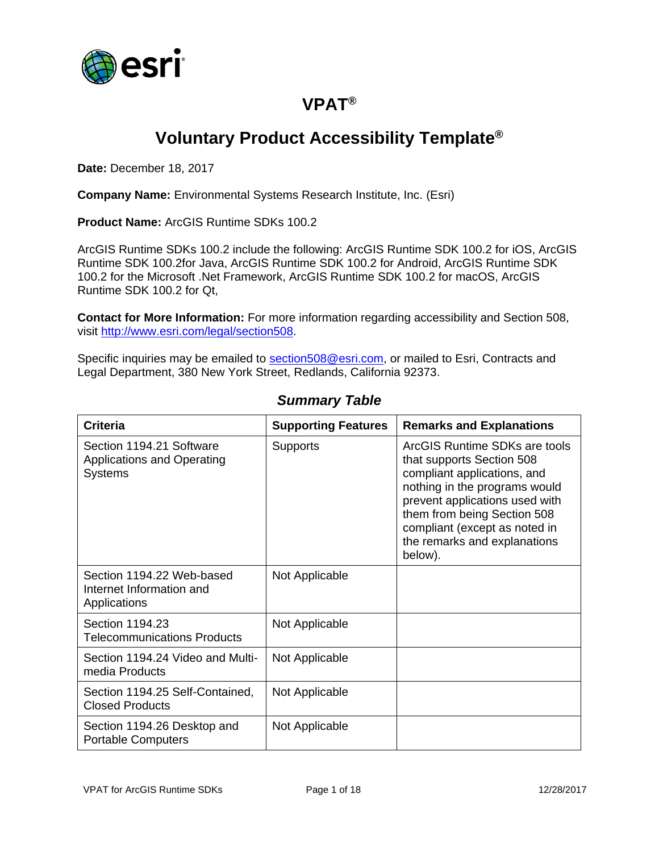

## **VPAT®**

# **Voluntary Product Accessibility Template®**

**Date:** December 18, 2017

**Company Name:** Environmental Systems Research Institute, Inc. (Esri)

**Product Name:** ArcGIS Runtime SDKs 100.2

ArcGIS Runtime SDKs 100.2 include the following: ArcGIS Runtime SDK 100.2 for iOS, ArcGIS Runtime SDK 100.2for Java, ArcGIS Runtime SDK 100.2 for Android, ArcGIS Runtime SDK 100.2 for the Microsoft .Net Framework, ArcGIS Runtime SDK 100.2 for macOS, ArcGIS Runtime SDK 100.2 for Qt,

**Contact for More Information:** For more information regarding accessibility and Section 508, visit [http://www.esri.com/legal/section508.](http://www.esri.com/legal/section508)

Specific inquiries may be emailed to [section508@esri.com,](mailto:section508@esri.com) or mailed to Esri, Contracts and Legal Department, 380 New York Street, Redlands, California 92373.

| <b>Criteria</b>                                                                 | <b>Supporting Features</b> | <b>Remarks and Explanations</b>                                                                                                                                                                                                                                         |
|---------------------------------------------------------------------------------|----------------------------|-------------------------------------------------------------------------------------------------------------------------------------------------------------------------------------------------------------------------------------------------------------------------|
| Section 1194.21 Software<br><b>Applications and Operating</b><br><b>Systems</b> | <b>Supports</b>            | ArcGIS Runtime SDKs are tools<br>that supports Section 508<br>compliant applications, and<br>nothing in the programs would<br>prevent applications used with<br>them from being Section 508<br>compliant (except as noted in<br>the remarks and explanations<br>below). |
| Section 1194.22 Web-based<br>Internet Information and<br>Applications           | Not Applicable             |                                                                                                                                                                                                                                                                         |
| Section 1194.23<br><b>Telecommunications Products</b>                           | Not Applicable             |                                                                                                                                                                                                                                                                         |
| Section 1194.24 Video and Multi-<br>media Products                              | Not Applicable             |                                                                                                                                                                                                                                                                         |
| Section 1194.25 Self-Contained,<br><b>Closed Products</b>                       | Not Applicable             |                                                                                                                                                                                                                                                                         |
| Section 1194.26 Desktop and<br><b>Portable Computers</b>                        | Not Applicable             |                                                                                                                                                                                                                                                                         |

#### *Summary Table*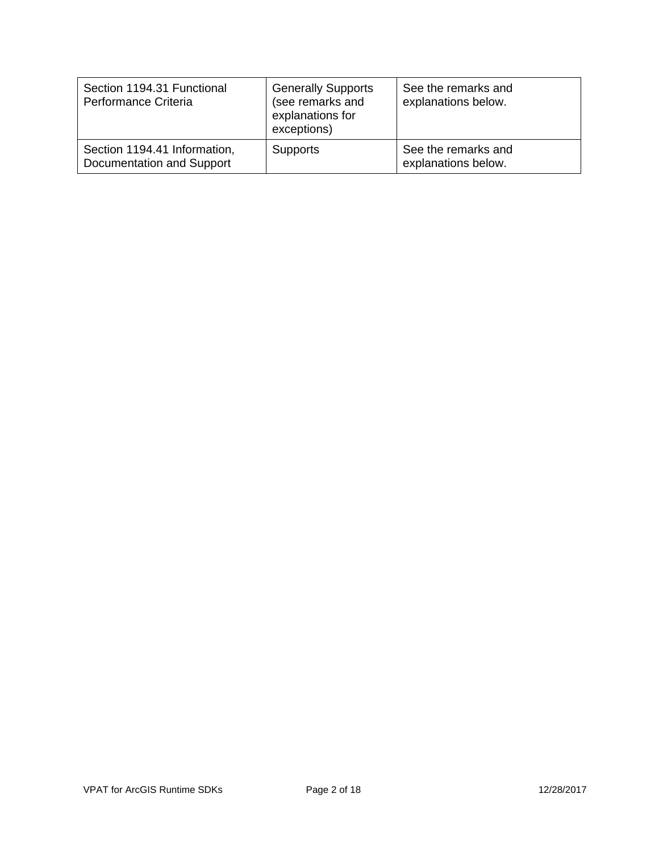| Section 1194.31 Functional<br>Performance Criteria        | <b>Generally Supports</b><br>(see remarks and<br>explanations for<br>exceptions) | See the remarks and<br>explanations below. |
|-----------------------------------------------------------|----------------------------------------------------------------------------------|--------------------------------------------|
| Section 1194.41 Information,<br>Documentation and Support | <b>Supports</b>                                                                  | See the remarks and<br>explanations below. |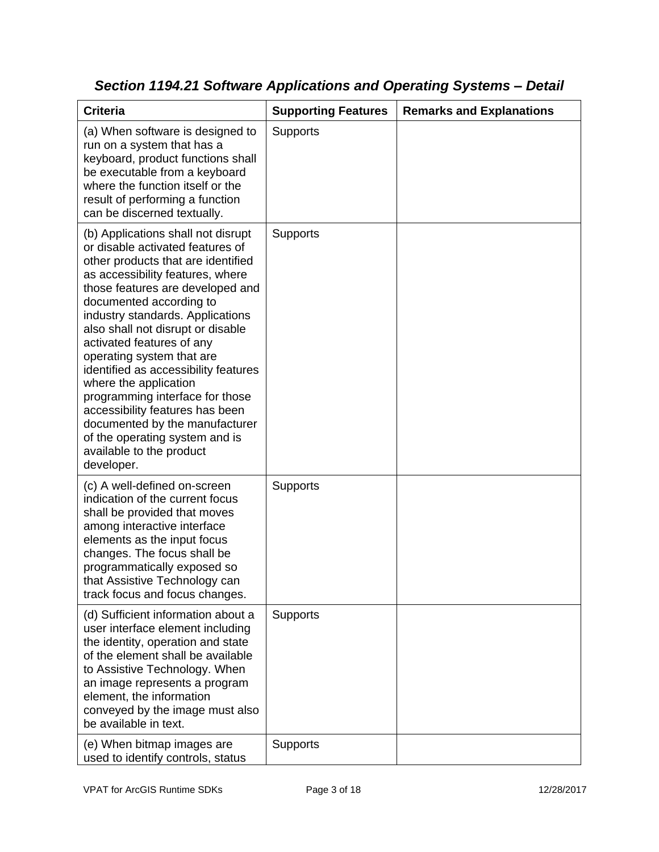| <b>Criteria</b>                                                                                                                                                                                                                                                                                                                                                                                                                                                                                                                                                                                         | <b>Supporting Features</b> | <b>Remarks and Explanations</b> |
|---------------------------------------------------------------------------------------------------------------------------------------------------------------------------------------------------------------------------------------------------------------------------------------------------------------------------------------------------------------------------------------------------------------------------------------------------------------------------------------------------------------------------------------------------------------------------------------------------------|----------------------------|---------------------------------|
| (a) When software is designed to<br>run on a system that has a<br>keyboard, product functions shall<br>be executable from a keyboard<br>where the function itself or the<br>result of performing a function<br>can be discerned textually.                                                                                                                                                                                                                                                                                                                                                              | <b>Supports</b>            |                                 |
| (b) Applications shall not disrupt<br>or disable activated features of<br>other products that are identified<br>as accessibility features, where<br>those features are developed and<br>documented according to<br>industry standards. Applications<br>also shall not disrupt or disable<br>activated features of any<br>operating system that are<br>identified as accessibility features<br>where the application<br>programming interface for those<br>accessibility features has been<br>documented by the manufacturer<br>of the operating system and is<br>available to the product<br>developer. | <b>Supports</b>            |                                 |
| (c) A well-defined on-screen<br>indication of the current focus<br>shall be provided that moves<br>among interactive interface<br>elements as the input focus<br>changes. The focus shall be<br>programmatically exposed so<br>that Assistive Technology can<br>track focus and focus changes.                                                                                                                                                                                                                                                                                                          | <b>Supports</b>            |                                 |
| (d) Sufficient information about a<br>user interface element including<br>the identity, operation and state<br>of the element shall be available<br>to Assistive Technology. When<br>an image represents a program<br>element, the information<br>conveyed by the image must also<br>be available in text.                                                                                                                                                                                                                                                                                              | <b>Supports</b>            |                                 |
| (e) When bitmap images are<br>used to identify controls, status                                                                                                                                                                                                                                                                                                                                                                                                                                                                                                                                         | Supports                   |                                 |

*Section 1194.21 Software Applications and Operating Systems – Detail*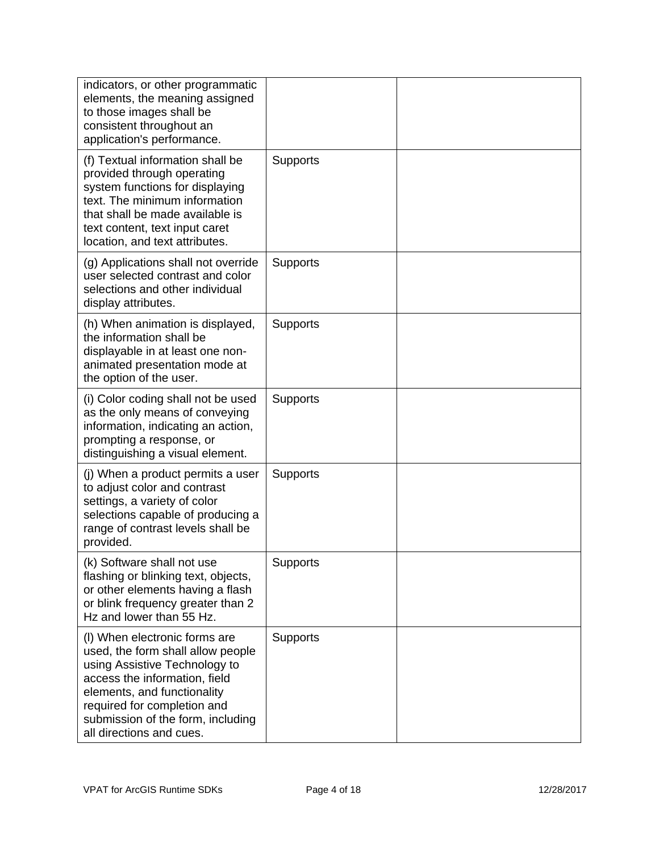| indicators, or other programmatic<br>elements, the meaning assigned<br>to those images shall be<br>consistent throughout an<br>application's performance.                                                                                                           |                 |  |
|---------------------------------------------------------------------------------------------------------------------------------------------------------------------------------------------------------------------------------------------------------------------|-----------------|--|
| (f) Textual information shall be<br>provided through operating<br>system functions for displaying<br>text. The minimum information<br>that shall be made available is<br>text content, text input caret<br>location, and text attributes.                           | <b>Supports</b> |  |
| (g) Applications shall not override<br>user selected contrast and color<br>selections and other individual<br>display attributes.                                                                                                                                   | <b>Supports</b> |  |
| (h) When animation is displayed,<br>the information shall be<br>displayable in at least one non-<br>animated presentation mode at<br>the option of the user.                                                                                                        | <b>Supports</b> |  |
| (i) Color coding shall not be used<br>as the only means of conveying<br>information, indicating an action,<br>prompting a response, or<br>distinguishing a visual element.                                                                                          | <b>Supports</b> |  |
| (j) When a product permits a user<br>to adjust color and contrast<br>settings, a variety of color<br>selections capable of producing a<br>range of contrast levels shall be<br>provided.                                                                            | <b>Supports</b> |  |
| (k) Software shall not use<br>flashing or blinking text, objects,<br>or other elements having a flash<br>or blink frequency greater than 2<br>Hz and lower than 55 Hz.                                                                                              | Supports        |  |
| (I) When electronic forms are<br>used, the form shall allow people<br>using Assistive Technology to<br>access the information, field<br>elements, and functionality<br>required for completion and<br>submission of the form, including<br>all directions and cues. | Supports        |  |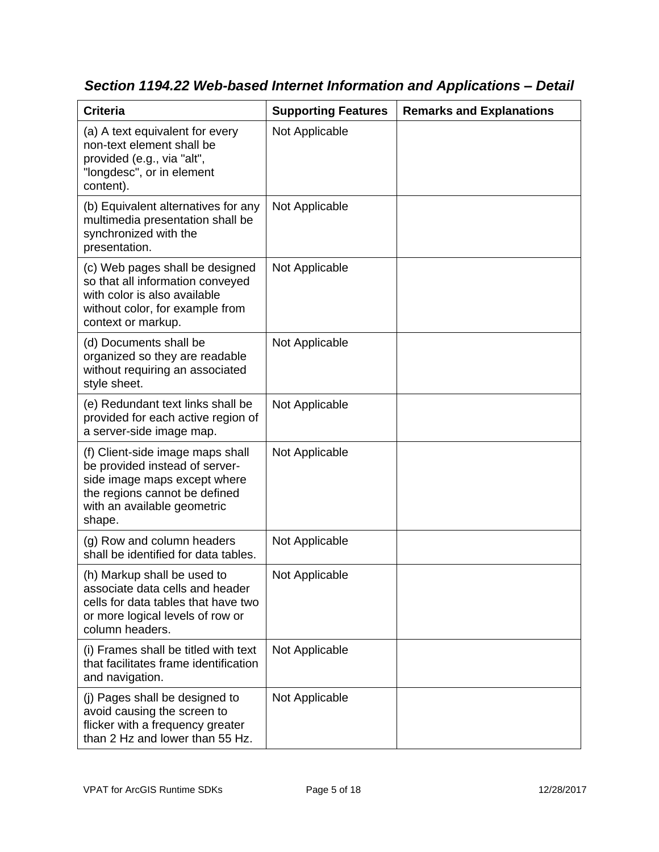| <b>Criteria</b>                                                                                                                                                              | <b>Supporting Features</b> | <b>Remarks and Explanations</b> |
|------------------------------------------------------------------------------------------------------------------------------------------------------------------------------|----------------------------|---------------------------------|
| (a) A text equivalent for every<br>non-text element shall be<br>provided (e.g., via "alt",<br>"longdesc", or in element<br>content).                                         | Not Applicable             |                                 |
| (b) Equivalent alternatives for any<br>multimedia presentation shall be<br>synchronized with the<br>presentation.                                                            | Not Applicable             |                                 |
| (c) Web pages shall be designed<br>so that all information conveyed<br>with color is also available<br>without color, for example from<br>context or markup.                 | Not Applicable             |                                 |
| (d) Documents shall be<br>organized so they are readable<br>without requiring an associated<br>style sheet.                                                                  | Not Applicable             |                                 |
| (e) Redundant text links shall be<br>provided for each active region of<br>a server-side image map.                                                                          | Not Applicable             |                                 |
| (f) Client-side image maps shall<br>be provided instead of server-<br>side image maps except where<br>the regions cannot be defined<br>with an available geometric<br>shape. | Not Applicable             |                                 |
| (g) Row and column headers<br>shall be identified for data tables.                                                                                                           | Not Applicable             |                                 |
| (h) Markup shall be used to<br>associate data cells and header<br>cells for data tables that have two<br>or more logical levels of row or<br>column headers.                 | Not Applicable             |                                 |
| (i) Frames shall be titled with text<br>that facilitates frame identification<br>and navigation.                                                                             | Not Applicable             |                                 |
| (j) Pages shall be designed to<br>avoid causing the screen to<br>flicker with a frequency greater<br>than 2 Hz and lower than 55 Hz.                                         | Not Applicable             |                                 |

*Section 1194.22 Web-based Internet Information and Applications – Detail*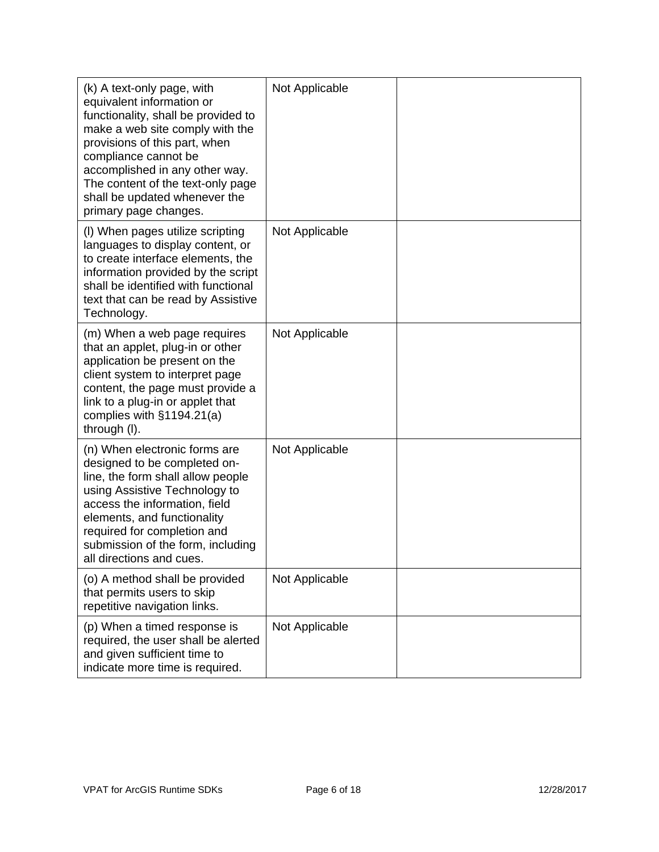| (k) A text-only page, with<br>equivalent information or<br>functionality, shall be provided to<br>make a web site comply with the<br>provisions of this part, when<br>compliance cannot be<br>accomplished in any other way.<br>The content of the text-only page<br>shall be updated whenever the<br>primary page changes. | Not Applicable |  |
|-----------------------------------------------------------------------------------------------------------------------------------------------------------------------------------------------------------------------------------------------------------------------------------------------------------------------------|----------------|--|
| (I) When pages utilize scripting<br>languages to display content, or<br>to create interface elements, the<br>information provided by the script<br>shall be identified with functional<br>text that can be read by Assistive<br>Technology.                                                                                 | Not Applicable |  |
| (m) When a web page requires<br>that an applet, plug-in or other<br>application be present on the<br>client system to interpret page<br>content, the page must provide a<br>link to a plug-in or applet that<br>complies with $§1194.21(a)$<br>through (I).                                                                 | Not Applicable |  |
| (n) When electronic forms are<br>designed to be completed on-<br>line, the form shall allow people<br>using Assistive Technology to<br>access the information, field<br>elements, and functionality<br>required for completion and<br>submission of the form, including<br>all directions and cues.                         | Not Applicable |  |
| (o) A method shall be provided<br>that permits users to skip<br>repetitive navigation links.                                                                                                                                                                                                                                | Not Applicable |  |
| (p) When a timed response is<br>required, the user shall be alerted<br>and given sufficient time to<br>indicate more time is required.                                                                                                                                                                                      | Not Applicable |  |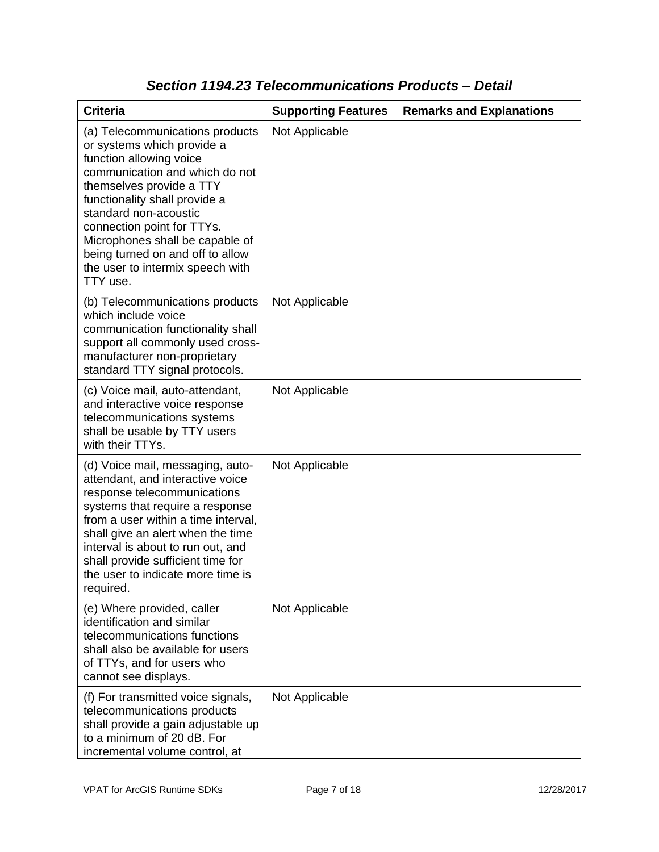| <b>Criteria</b>                                                                                                                                                                                                                                                                                                                                                       | <b>Supporting Features</b> | <b>Remarks and Explanations</b> |
|-----------------------------------------------------------------------------------------------------------------------------------------------------------------------------------------------------------------------------------------------------------------------------------------------------------------------------------------------------------------------|----------------------------|---------------------------------|
| (a) Telecommunications products<br>or systems which provide a<br>function allowing voice<br>communication and which do not<br>themselves provide a TTY<br>functionality shall provide a<br>standard non-acoustic<br>connection point for TTYs.<br>Microphones shall be capable of<br>being turned on and off to allow<br>the user to intermix speech with<br>TTY use. | Not Applicable             |                                 |
| (b) Telecommunications products<br>which include voice<br>communication functionality shall<br>support all commonly used cross-<br>manufacturer non-proprietary<br>standard TTY signal protocols.                                                                                                                                                                     | Not Applicable             |                                 |
| (c) Voice mail, auto-attendant,<br>and interactive voice response<br>telecommunications systems<br>shall be usable by TTY users<br>with their TTYs.                                                                                                                                                                                                                   | Not Applicable             |                                 |
| (d) Voice mail, messaging, auto-<br>attendant, and interactive voice<br>response telecommunications<br>systems that require a response<br>from a user within a time interval,<br>shall give an alert when the time<br>interval is about to run out, and<br>shall provide sufficient time for<br>the user to indicate more time is<br>required.                        | Not Applicable             |                                 |
| (e) Where provided, caller<br>identification and similar<br>telecommunications functions<br>shall also be available for users<br>of TTYs, and for users who<br>cannot see displays.                                                                                                                                                                                   | Not Applicable             |                                 |
| (f) For transmitted voice signals,<br>telecommunications products<br>shall provide a gain adjustable up<br>to a minimum of 20 dB. For<br>incremental volume control, at                                                                                                                                                                                               | Not Applicable             |                                 |

### *Section 1194.23 Telecommunications Products – Detail*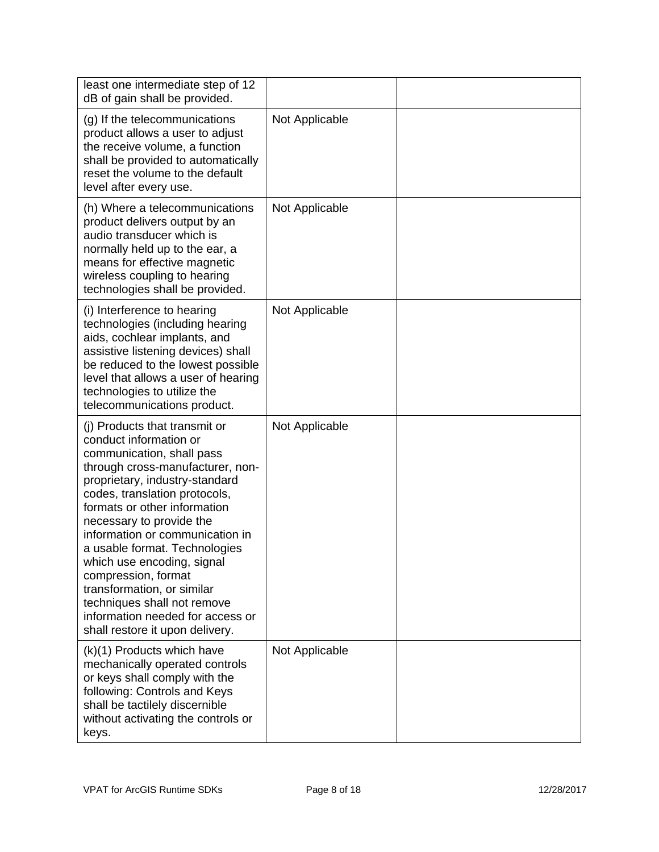| least one intermediate step of 12<br>dB of gain shall be provided.                                                                                                                                                                                                                                                                                                                                                                                                                                                   |                |  |
|----------------------------------------------------------------------------------------------------------------------------------------------------------------------------------------------------------------------------------------------------------------------------------------------------------------------------------------------------------------------------------------------------------------------------------------------------------------------------------------------------------------------|----------------|--|
| (g) If the telecommunications<br>product allows a user to adjust<br>the receive volume, a function<br>shall be provided to automatically<br>reset the volume to the default<br>level after every use.                                                                                                                                                                                                                                                                                                                | Not Applicable |  |
| (h) Where a telecommunications<br>product delivers output by an<br>audio transducer which is<br>normally held up to the ear, a<br>means for effective magnetic<br>wireless coupling to hearing<br>technologies shall be provided.                                                                                                                                                                                                                                                                                    | Not Applicable |  |
| (i) Interference to hearing<br>technologies (including hearing<br>aids, cochlear implants, and<br>assistive listening devices) shall<br>be reduced to the lowest possible<br>level that allows a user of hearing<br>technologies to utilize the<br>telecommunications product.                                                                                                                                                                                                                                       | Not Applicable |  |
| (i) Products that transmit or<br>conduct information or<br>communication, shall pass<br>through cross-manufacturer, non-<br>proprietary, industry-standard<br>codes, translation protocols,<br>formats or other information<br>necessary to provide the<br>information or communication in<br>a usable format. Technologies<br>which use encoding, signal<br>compression, format<br>transformation, or similar<br>techniques shall not remove<br>information needed for access or<br>shall restore it upon delivery. | Not Applicable |  |
| (k)(1) Products which have<br>mechanically operated controls<br>or keys shall comply with the<br>following: Controls and Keys<br>shall be tactilely discernible<br>without activating the controls or<br>keys.                                                                                                                                                                                                                                                                                                       | Not Applicable |  |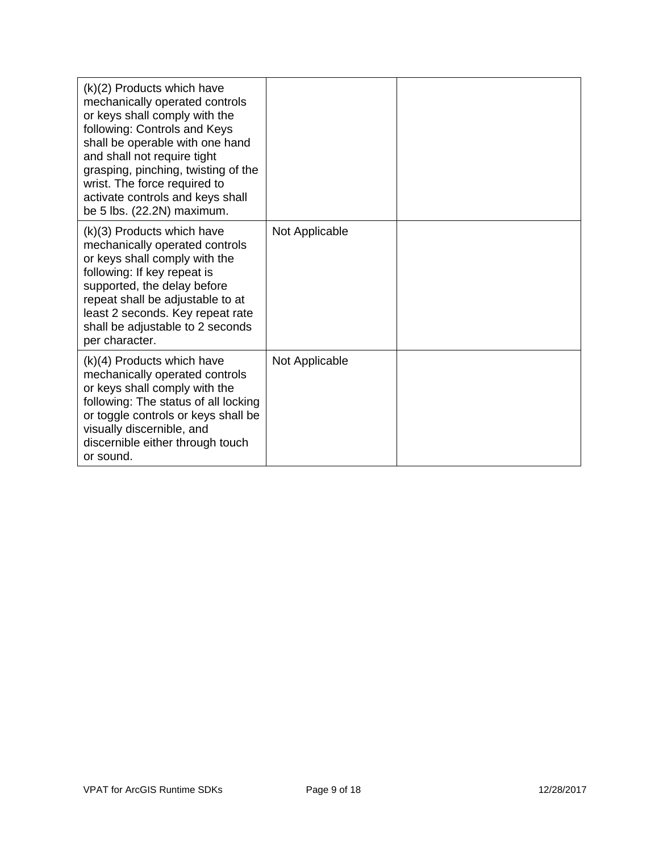| $(k)(2)$ Products which have<br>mechanically operated controls<br>or keys shall comply with the<br>following: Controls and Keys<br>shall be operable with one hand<br>and shall not require tight<br>grasping, pinching, twisting of the<br>wrist. The force required to<br>activate controls and keys shall<br>be 5 lbs. (22.2N) maximum. |                |  |
|--------------------------------------------------------------------------------------------------------------------------------------------------------------------------------------------------------------------------------------------------------------------------------------------------------------------------------------------|----------------|--|
| $(k)(3)$ Products which have<br>mechanically operated controls<br>or keys shall comply with the<br>following: If key repeat is<br>supported, the delay before<br>repeat shall be adjustable to at<br>least 2 seconds. Key repeat rate<br>shall be adjustable to 2 seconds<br>per character.                                                | Not Applicable |  |
| $(k)(4)$ Products which have<br>mechanically operated controls<br>or keys shall comply with the<br>following: The status of all locking<br>or toggle controls or keys shall be<br>visually discernible, and<br>discernible either through touch<br>or sound.                                                                               | Not Applicable |  |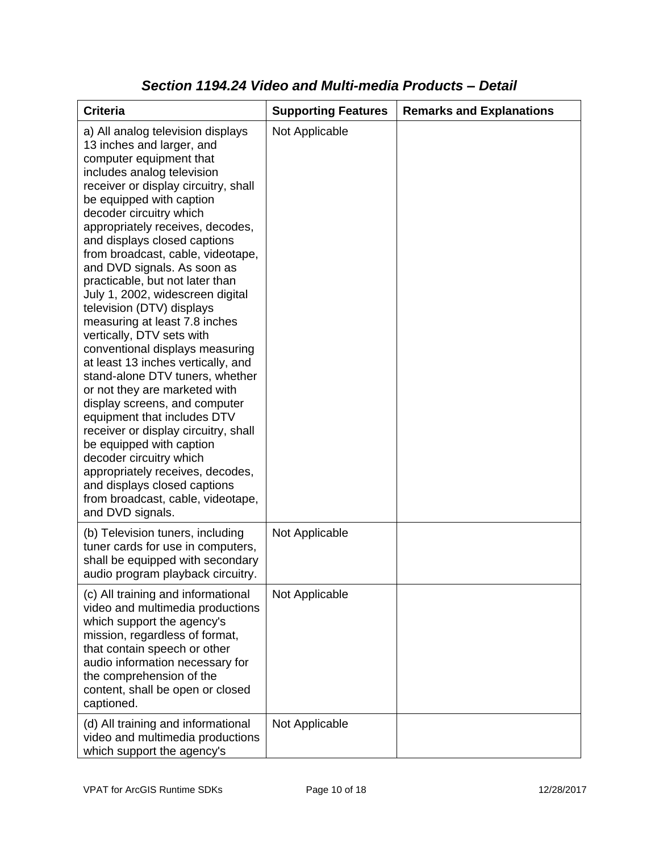| <b>Criteria</b>                                                                                                                                                                                                                                                                                                                                                                                                                                                                                                                                                                                                                                                                                                                                                                                                                                                                                                                                                           | <b>Supporting Features</b> | <b>Remarks and Explanations</b> |
|---------------------------------------------------------------------------------------------------------------------------------------------------------------------------------------------------------------------------------------------------------------------------------------------------------------------------------------------------------------------------------------------------------------------------------------------------------------------------------------------------------------------------------------------------------------------------------------------------------------------------------------------------------------------------------------------------------------------------------------------------------------------------------------------------------------------------------------------------------------------------------------------------------------------------------------------------------------------------|----------------------------|---------------------------------|
| a) All analog television displays<br>13 inches and larger, and<br>computer equipment that<br>includes analog television<br>receiver or display circuitry, shall<br>be equipped with caption<br>decoder circuitry which<br>appropriately receives, decodes,<br>and displays closed captions<br>from broadcast, cable, videotape,<br>and DVD signals. As soon as<br>practicable, but not later than<br>July 1, 2002, widescreen digital<br>television (DTV) displays<br>measuring at least 7.8 inches<br>vertically, DTV sets with<br>conventional displays measuring<br>at least 13 inches vertically, and<br>stand-alone DTV tuners, whether<br>or not they are marketed with<br>display screens, and computer<br>equipment that includes DTV<br>receiver or display circuitry, shall<br>be equipped with caption<br>decoder circuitry which<br>appropriately receives, decodes,<br>and displays closed captions<br>from broadcast, cable, videotape,<br>and DVD signals. | Not Applicable             |                                 |
| (b) Television tuners, including<br>tuner cards for use in computers,<br>shall be equipped with secondary<br>audio program playback circuitry.                                                                                                                                                                                                                                                                                                                                                                                                                                                                                                                                                                                                                                                                                                                                                                                                                            | Not Applicable             |                                 |
| (c) All training and informational<br>video and multimedia productions<br>which support the agency's<br>mission, regardless of format,<br>that contain speech or other<br>audio information necessary for<br>the comprehension of the<br>content, shall be open or closed<br>captioned.                                                                                                                                                                                                                                                                                                                                                                                                                                                                                                                                                                                                                                                                                   | Not Applicable             |                                 |
| (d) All training and informational<br>video and multimedia productions<br>which support the agency's                                                                                                                                                                                                                                                                                                                                                                                                                                                                                                                                                                                                                                                                                                                                                                                                                                                                      | Not Applicable             |                                 |

### *Section 1194.24 Video and Multi-media Products – Detail*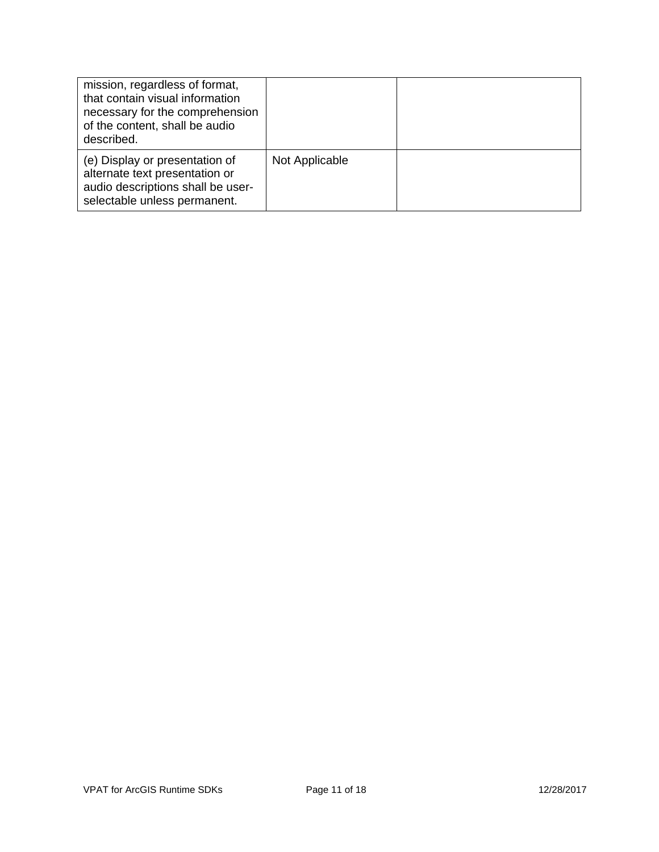| mission, regardless of format,<br>that contain visual information<br>necessary for the comprehension<br>of the content, shall be audio<br>described. |                |  |
|------------------------------------------------------------------------------------------------------------------------------------------------------|----------------|--|
| (e) Display or presentation of<br>alternate text presentation or<br>audio descriptions shall be user-<br>selectable unless permanent.                | Not Applicable |  |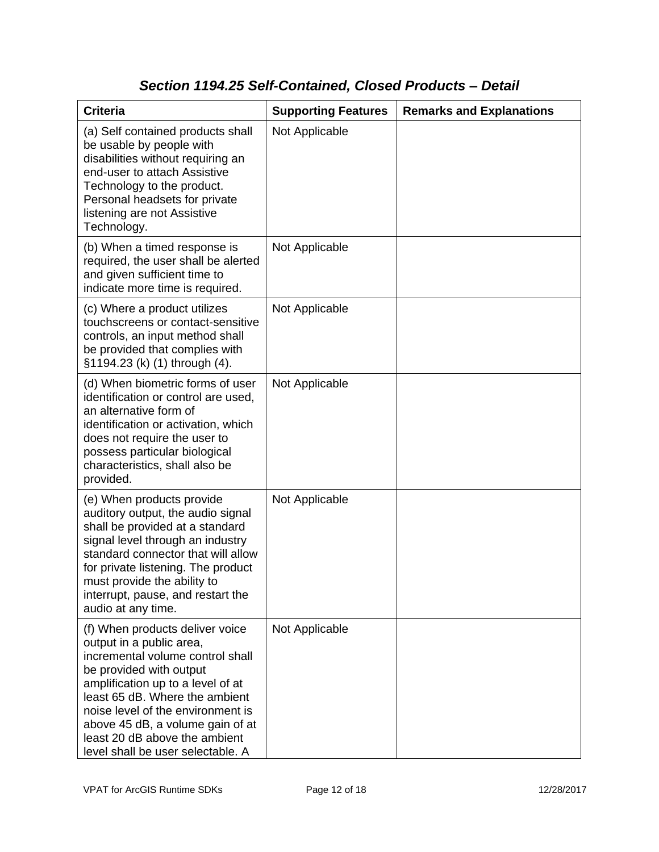### *Section 1194.25 Self-Contained, Closed Products – Detail*

| <b>Criteria</b>                                                                                                                                                                                                                                                                                                                                  | <b>Supporting Features</b> | <b>Remarks and Explanations</b> |
|--------------------------------------------------------------------------------------------------------------------------------------------------------------------------------------------------------------------------------------------------------------------------------------------------------------------------------------------------|----------------------------|---------------------------------|
| (a) Self contained products shall<br>be usable by people with<br>disabilities without requiring an<br>end-user to attach Assistive<br>Technology to the product.<br>Personal headsets for private<br>listening are not Assistive<br>Technology.                                                                                                  | Not Applicable             |                                 |
| (b) When a timed response is<br>required, the user shall be alerted<br>and given sufficient time to<br>indicate more time is required.                                                                                                                                                                                                           | Not Applicable             |                                 |
| (c) Where a product utilizes<br>touchscreens or contact-sensitive<br>controls, an input method shall<br>be provided that complies with<br>§1194.23 (k) (1) through (4).                                                                                                                                                                          | Not Applicable             |                                 |
| (d) When biometric forms of user<br>identification or control are used,<br>an alternative form of<br>identification or activation, which<br>does not require the user to<br>possess particular biological<br>characteristics, shall also be<br>provided.                                                                                         | Not Applicable             |                                 |
| (e) When products provide<br>auditory output, the audio signal<br>shall be provided at a standard<br>signal level through an industry<br>standard connector that will allow<br>for private listening. The product<br>must provide the ability to<br>interrupt, pause, and restart the<br>audio at any time.                                      | Not Applicable             |                                 |
| (f) When products deliver voice<br>output in a public area,<br>incremental volume control shall<br>be provided with output<br>amplification up to a level of at<br>least 65 dB. Where the ambient<br>noise level of the environment is<br>above 45 dB, a volume gain of at<br>least 20 dB above the ambient<br>level shall be user selectable. A | Not Applicable             |                                 |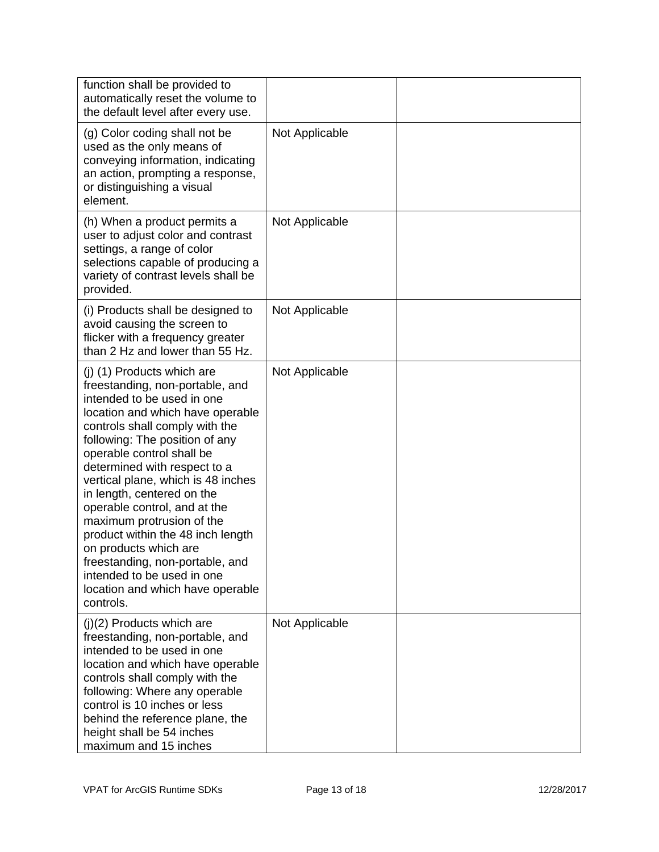| function shall be provided to<br>automatically reset the volume to<br>the default level after every use.                                                                                                                                                                                                                                                                                                                                                                                                                                                                          |                |  |
|-----------------------------------------------------------------------------------------------------------------------------------------------------------------------------------------------------------------------------------------------------------------------------------------------------------------------------------------------------------------------------------------------------------------------------------------------------------------------------------------------------------------------------------------------------------------------------------|----------------|--|
| (g) Color coding shall not be<br>used as the only means of<br>conveying information, indicating<br>an action, prompting a response,<br>or distinguishing a visual<br>element.                                                                                                                                                                                                                                                                                                                                                                                                     | Not Applicable |  |
| (h) When a product permits a<br>user to adjust color and contrast<br>settings, a range of color<br>selections capable of producing a<br>variety of contrast levels shall be<br>provided.                                                                                                                                                                                                                                                                                                                                                                                          | Not Applicable |  |
| (i) Products shall be designed to<br>avoid causing the screen to<br>flicker with a frequency greater<br>than 2 Hz and lower than 55 Hz.                                                                                                                                                                                                                                                                                                                                                                                                                                           | Not Applicable |  |
| (j) (1) Products which are<br>freestanding, non-portable, and<br>intended to be used in one<br>location and which have operable<br>controls shall comply with the<br>following: The position of any<br>operable control shall be<br>determined with respect to a<br>vertical plane, which is 48 inches<br>in length, centered on the<br>operable control, and at the<br>maximum protrusion of the<br>product within the 48 inch length<br>on products which are<br>freestanding, non-portable, and<br>intended to be used in one<br>location and which have operable<br>controls. | Not Applicable |  |
| $(j)(2)$ Products which are<br>freestanding, non-portable, and<br>intended to be used in one<br>location and which have operable<br>controls shall comply with the<br>following: Where any operable<br>control is 10 inches or less<br>behind the reference plane, the<br>height shall be 54 inches<br>maximum and 15 inches                                                                                                                                                                                                                                                      | Not Applicable |  |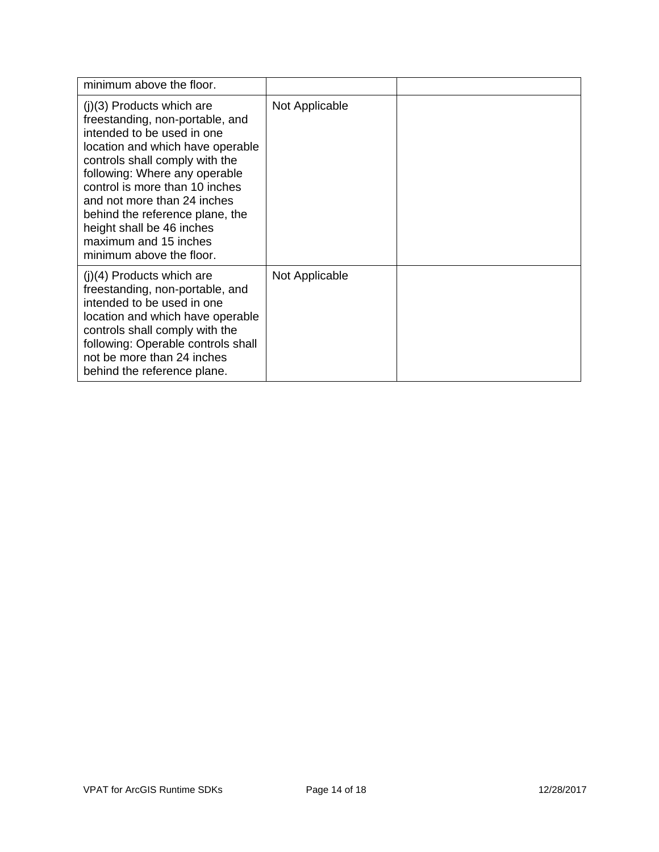| minimum above the floor.                                                                                                                                                                                                                                                                                                                                                                  |                |  |
|-------------------------------------------------------------------------------------------------------------------------------------------------------------------------------------------------------------------------------------------------------------------------------------------------------------------------------------------------------------------------------------------|----------------|--|
| $(j)(3)$ Products which are<br>freestanding, non-portable, and<br>intended to be used in one<br>location and which have operable<br>controls shall comply with the<br>following: Where any operable<br>control is more than 10 inches<br>and not more than 24 inches<br>behind the reference plane, the<br>height shall be 46 inches<br>maximum and 15 inches<br>minimum above the floor. | Not Applicable |  |
| $(j)(4)$ Products which are<br>freestanding, non-portable, and<br>intended to be used in one<br>location and which have operable<br>controls shall comply with the<br>following: Operable controls shall<br>not be more than 24 inches<br>behind the reference plane.                                                                                                                     | Not Applicable |  |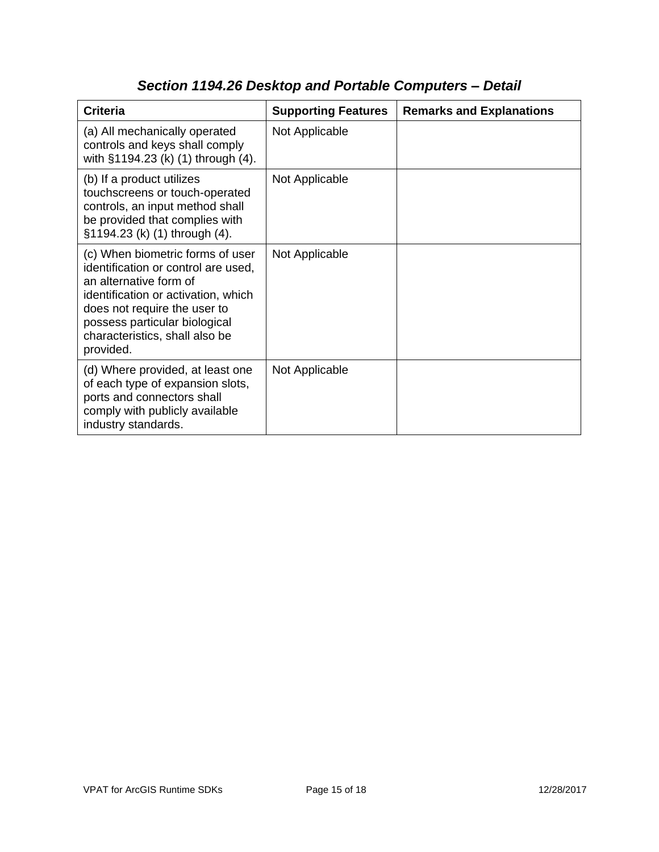| <b>Criteria</b>                                                                                                                                                                                                                                          | <b>Supporting Features</b> | <b>Remarks and Explanations</b> |
|----------------------------------------------------------------------------------------------------------------------------------------------------------------------------------------------------------------------------------------------------------|----------------------------|---------------------------------|
| (a) All mechanically operated<br>controls and keys shall comply<br>with §1194.23 (k) (1) through (4).                                                                                                                                                    | Not Applicable             |                                 |
| (b) If a product utilizes<br>touchscreens or touch-operated<br>controls, an input method shall<br>be provided that complies with<br>§1194.23 (k) (1) through (4).                                                                                        | Not Applicable             |                                 |
| (c) When biometric forms of user<br>identification or control are used,<br>an alternative form of<br>identification or activation, which<br>does not require the user to<br>possess particular biological<br>characteristics, shall also be<br>provided. | Not Applicable             |                                 |
| (d) Where provided, at least one<br>of each type of expansion slots,<br>ports and connectors shall<br>comply with publicly available<br>industry standards.                                                                                              | Not Applicable             |                                 |

# *Section 1194.26 Desktop and Portable Computers – Detail*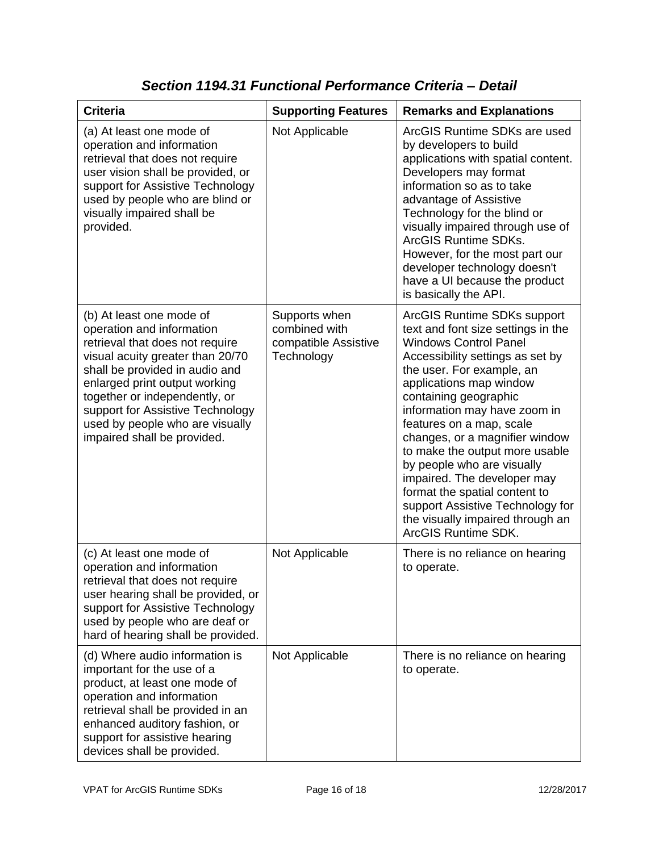| <b>Criteria</b>                                                                                                                                                                                                                                                                                                                        | <b>Supporting Features</b>                                           | <b>Remarks and Explanations</b>                                                                                                                                                                                                                                                                                                                                                                                                                                                                                                                     |
|----------------------------------------------------------------------------------------------------------------------------------------------------------------------------------------------------------------------------------------------------------------------------------------------------------------------------------------|----------------------------------------------------------------------|-----------------------------------------------------------------------------------------------------------------------------------------------------------------------------------------------------------------------------------------------------------------------------------------------------------------------------------------------------------------------------------------------------------------------------------------------------------------------------------------------------------------------------------------------------|
| (a) At least one mode of<br>operation and information<br>retrieval that does not require<br>user vision shall be provided, or<br>support for Assistive Technology<br>used by people who are blind or<br>visually impaired shall be<br>provided.                                                                                        | Not Applicable                                                       | ArcGIS Runtime SDKs are used<br>by developers to build<br>applications with spatial content.<br>Developers may format<br>information so as to take<br>advantage of Assistive<br>Technology for the blind or<br>visually impaired through use of<br><b>ArcGIS Runtime SDKs.</b><br>However, for the most part our<br>developer technology doesn't<br>have a UI because the product<br>is basically the API.                                                                                                                                          |
| (b) At least one mode of<br>operation and information<br>retrieval that does not require<br>visual acuity greater than 20/70<br>shall be provided in audio and<br>enlarged print output working<br>together or independently, or<br>support for Assistive Technology<br>used by people who are visually<br>impaired shall be provided. | Supports when<br>combined with<br>compatible Assistive<br>Technology | ArcGIS Runtime SDKs support<br>text and font size settings in the<br><b>Windows Control Panel</b><br>Accessibility settings as set by<br>the user. For example, an<br>applications map window<br>containing geographic<br>information may have zoom in<br>features on a map, scale<br>changes, or a magnifier window<br>to make the output more usable<br>by people who are visually<br>impaired. The developer may<br>format the spatial content to<br>support Assistive Technology for<br>the visually impaired through an<br>ArcGIS Runtime SDK. |
| (c) At least one mode of<br>operation and information<br>retrieval that does not require<br>user hearing shall be provided, or<br>support for Assistive Technology<br>used by people who are deaf or<br>hard of hearing shall be provided.                                                                                             | Not Applicable                                                       | There is no reliance on hearing<br>to operate.                                                                                                                                                                                                                                                                                                                                                                                                                                                                                                      |
| (d) Where audio information is<br>important for the use of a<br>product, at least one mode of<br>operation and information<br>retrieval shall be provided in an<br>enhanced auditory fashion, or<br>support for assistive hearing<br>devices shall be provided.                                                                        | Not Applicable                                                       | There is no reliance on hearing<br>to operate.                                                                                                                                                                                                                                                                                                                                                                                                                                                                                                      |

### *Section 1194.31 Functional Performance Criteria – Detail*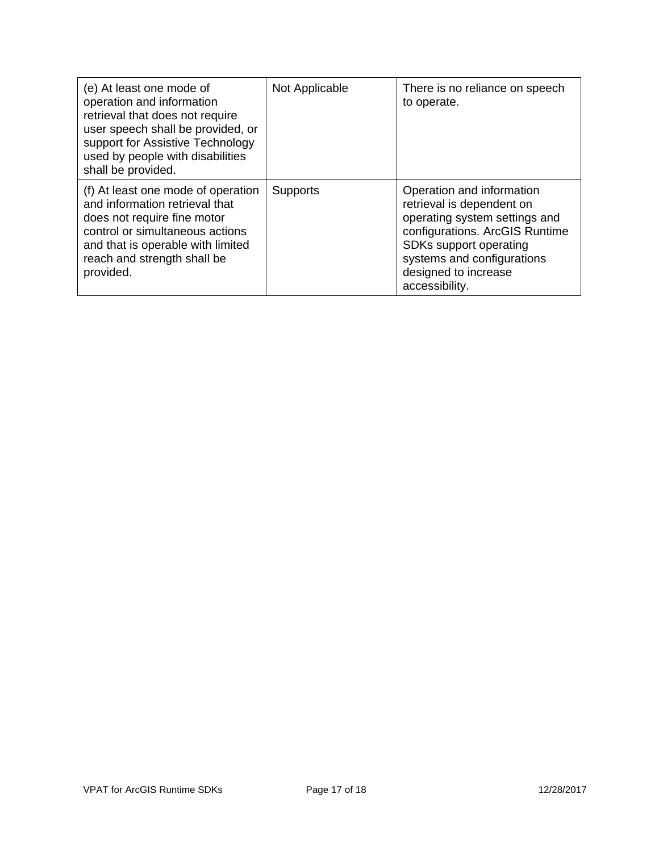| (e) At least one mode of<br>operation and information<br>retrieval that does not require<br>user speech shall be provided, or<br>support for Assistive Technology<br>used by people with disabilities<br>shall be provided. | Not Applicable  | There is no reliance on speech<br>to operate.                                                                                                                                                                               |
|-----------------------------------------------------------------------------------------------------------------------------------------------------------------------------------------------------------------------------|-----------------|-----------------------------------------------------------------------------------------------------------------------------------------------------------------------------------------------------------------------------|
| (f) At least one mode of operation<br>and information retrieval that<br>does not require fine motor<br>control or simultaneous actions<br>and that is operable with limited<br>reach and strength shall be<br>provided.     | <b>Supports</b> | Operation and information<br>retrieval is dependent on<br>operating system settings and<br>configurations. ArcGIS Runtime<br>SDKs support operating<br>systems and configurations<br>designed to increase<br>accessibility. |